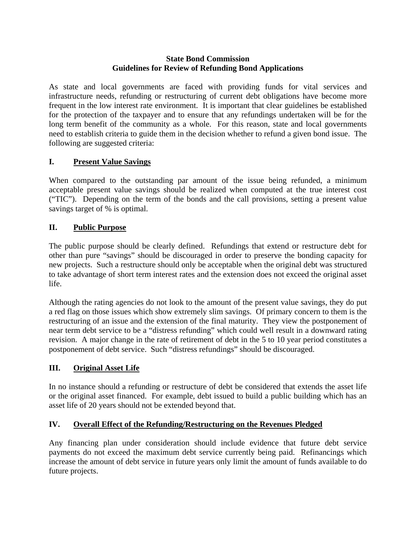#### **State Bond Commission Guidelines for Review of Refunding Bond Applications**

As state and local governments are faced with providing funds for vital services and infrastructure needs, refunding or restructuring of current debt obligations have become more frequent in the low interest rate environment. It is important that clear guidelines be established for the protection of the taxpayer and to ensure that any refundings undertaken will be for the long term benefit of the community as a whole. For this reason, state and local governments need to establish criteria to guide them in the decision whether to refund a given bond issue. The following are suggested criteria:

## **I. Present Value Savings**

When compared to the outstanding par amount of the issue being refunded, a minimum acceptable present value savings should be realized when computed at the true interest cost ("TIC"). Depending on the term of the bonds and the call provisions, setting a present value savings target of % is optimal.

## **II. Public Purpose**

The public purpose should be clearly defined. Refundings that extend or restructure debt for other than pure "savings" should be discouraged in order to preserve the bonding capacity for new projects. Such a restructure should only be acceptable when the original debt was structured to take advantage of short term interest rates and the extension does not exceed the original asset life.

Although the rating agencies do not look to the amount of the present value savings, they do put a red flag on those issues which show extremely slim savings. Of primary concern to them is the restructuring of an issue and the extension of the final maturity. They view the postponement of near term debt service to be a "distress refunding" which could well result in a downward rating revision. A major change in the rate of retirement of debt in the 5 to 10 year period constitutes a postponement of debt service. Such "distress refundings" should be discouraged.

#### **III. Original Asset Life**

In no instance should a refunding or restructure of debt be considered that extends the asset life or the original asset financed. For example, debt issued to build a public building which has an asset life of 20 years should not be extended beyond that.

# **IV. Overall Effect of the Refunding/Restructuring on the Revenues Pledged**

Any financing plan under consideration should include evidence that future debt service payments do not exceed the maximum debt service currently being paid. Refinancings which increase the amount of debt service in future years only limit the amount of funds available to do future projects.